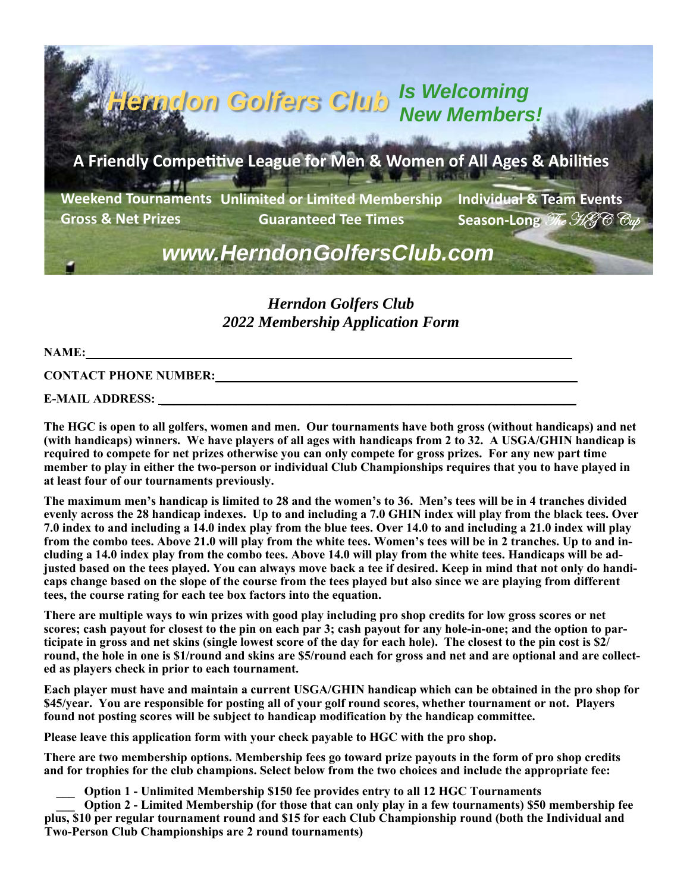**Individual & Team Events Season-Long**  $\mathscr{T}_{\mathscr{C}}$   $\mathscr{H}_{\mathscr{C}}$ *Herndon Golfers Club Is Welcoming New Members!*  A Friendly Competitive League for Men & Women of All Ages & Abilities **Weekend Tournaments Unlimited or Limited Membership Gross & Net Prizes Guaranteed Tee Times**  *www.HerndonGolfersClub.com* 

> *Herndon Golfers Club 2022 Membership Application Form*

## **NAME:** <u>**NAME:**  $\cdot$  *NAME*:  $\cdot$  *NAME*: *NAME*: *NAME*: *NAME*: *NAME*: *NAME*: *NAME*: *NAME*: *NAME*</u>

**CONTACT PHONE NUMBER:** 

**E-MAIL ADDRESS:** 

**The HGC is open to all golfers, women and men. Our tournaments have both gross (without handicaps) and net (with handicaps) winners. We have players of all ages with handicaps from 2 to 32. A USGA/GHIN handicap is required to compete for net prizes otherwise you can only compete for gross prizes. For any new part time member to play in either the two-person or individual Club Championships requires that you to have played in at least four of our tournaments previously.** 

**The maximum men's handicap is limited to 28 and the women's to 36. Men's tees will be in 4 tranches divided evenly across the 28 handicap indexes. Up to and including a 7.0 GHIN index will play from the black tees. Over 7.0 index to and including a 14.0 index play from the blue tees. Over 14.0 to and including a 21.0 index will play from the combo tees. Above 21.0 will play from the white tees. Women's tees will be in 2 tranches. Up to and including a 14.0 index play from the combo tees. Above 14.0 will play from the white tees. Handicaps will be adjusted based on the tees played. You can always move back a tee if desired. Keep in mind that not only do handicaps change based on the slope of the course from the tees played but also since we are playing from different tees, the course rating for each tee box factors into the equation.** 

**There are multiple ways to win prizes with good play including pro shop credits for low gross scores or net scores; cash payout for closest to the pin on each par 3; cash payout for any hole-in-one; and the option to participate in gross and net skins (single lowest score of the day for each hole). The closest to the pin cost is \$2/ round, the hole in one is \$1/round and skins are \$5/round each for gross and net and are optional and are collected as players check in prior to each tournament.** 

**Each player must have and maintain a current USGA/GHIN handicap which can be obtained in the pro shop for \$45/year. You are responsible for posting all of your golf round scores, whether tournament or not. Players found not posting scores will be subject to handicap modification by the handicap committee.** 

**Please leave this application form with your check payable to HGC with the pro shop.** 

**There are two membership options. Membership fees go toward prize payouts in the form of pro shop credits**  and for trophies for the club champions. Select below from the two choices and include the appropriate fee:<br>**Option 1 - Unlimited Membership \$150 fee provides entry to all 12 HGC Tournaments** 

**Option 2 - Limited Membership (for those that can only play in a few tournaments) \$50 membership fee plus, \$10 per regular tournament round and \$15 for each Club Championship round (both the Individual and Two-Person Club Championships are 2 round tournaments)**